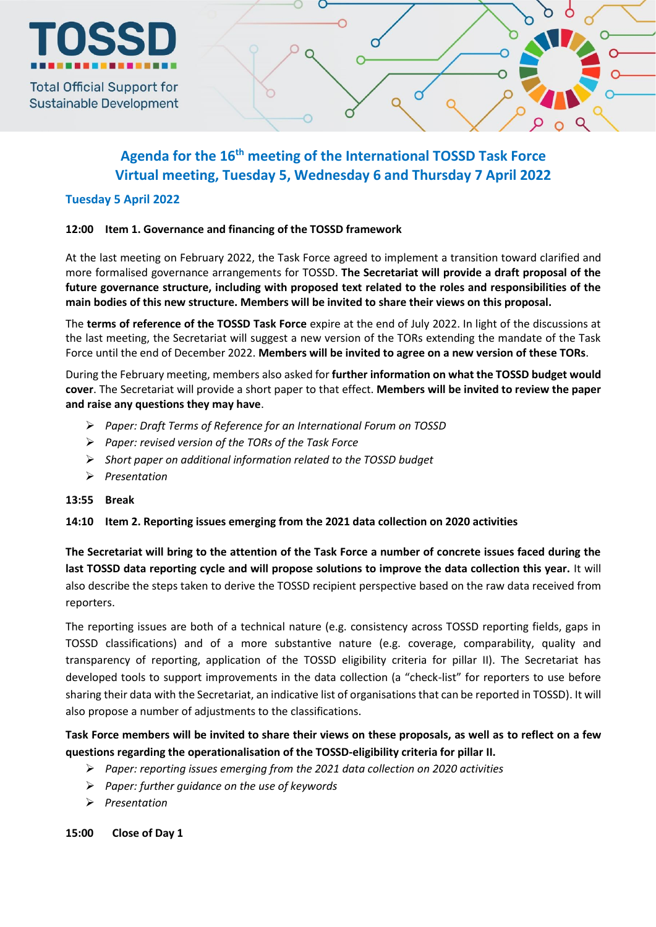

**Sustainable Development** 

# **Agenda for the 16 th meeting of the International TOSSD Task Force Virtual meeting, Tuesday 5, Wednesday 6 and Thursday 7 April 2022**

# **Tuesday 5 April 2022**

# **12:00 Item 1. Governance and financing of the TOSSD framework**

At the last meeting on February 2022, the Task Force agreed to implement a transition toward clarified and more formalised governance arrangements for TOSSD. **The Secretariat will provide a draft proposal of the future governance structure, including with proposed text related to the roles and responsibilities of the main bodies of this new structure. Members will be invited to share their views on this proposal.**

The **terms of reference of the TOSSD Task Force** expire at the end of July 2022. In light of the discussions at the last meeting, the Secretariat will suggest a new version of the TORs extending the mandate of the Task Force until the end of December 2022. **Members will be invited to agree on a new version of these TORs**.

During the February meeting, members also asked for **further information on what the TOSSD budget would cover**. The Secretariat will provide a short paper to that effect. **Members will be invited to review the paper and raise any questions they may have**.

- *Paper: Draft Terms of Reference for an International Forum on TOSSD*
- *Paper: revised version of the TORs of the Task Force*
- *Short paper on additional information related to the TOSSD budget*
- *Presentation*

# **13:55 Break**

# **14:10 Item 2. Reporting issues emerging from the 2021 data collection on 2020 activities**

**The Secretariat will bring to the attention of the Task Force a number of concrete issues faced during the last TOSSD data reporting cycle and will propose solutions to improve the data collection this year.** It will also describe the steps taken to derive the TOSSD recipient perspective based on the raw data received from reporters.

The reporting issues are both of a technical nature (e.g. consistency across TOSSD reporting fields, gaps in TOSSD classifications) and of a more substantive nature (e.g. coverage, comparability, quality and transparency of reporting, application of the TOSSD eligibility criteria for pillar II). The Secretariat has developed tools to support improvements in the data collection (a "check-list" for reporters to use before sharing their data with the Secretariat, an indicative list of organisations that can be reported in TOSSD). It will also propose a number of adjustments to the classifications.

**Task Force members will be invited to share their views on these proposals, as well as to reflect on a few questions regarding the operationalisation of the TOSSD-eligibility criteria for pillar II.** 

- *Paper: reporting issues emerging from the 2021 data collection on 2020 activities*
- *Paper: further guidance on the use of keywords*
- *Presentation*

**15:00 Close of Day 1**